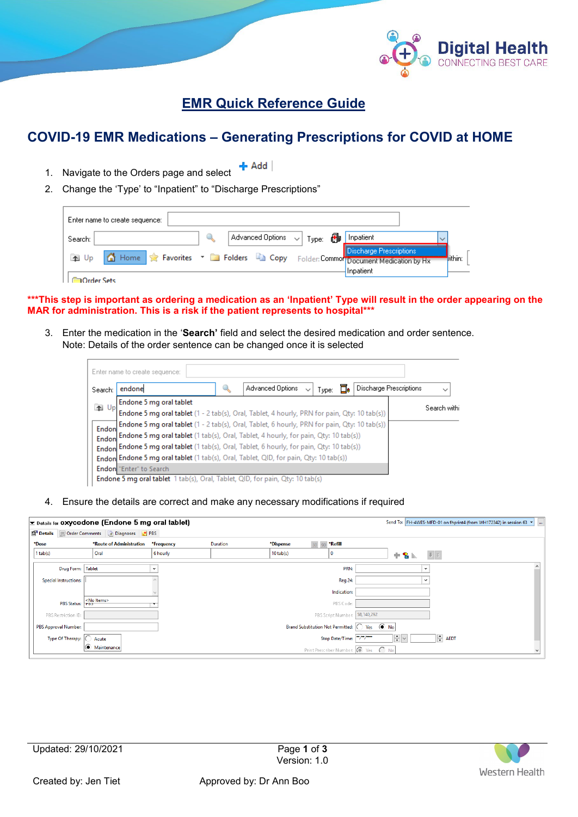

## **EMR Quick Reference Guide**

# **COVID-19 EMR Medications – Generating Prescriptions for COVID at HOME**

- $+$  Add 1. Navigate to the Orders page and select
- 2. Change the 'Type' to "Inpatient" to "Discharge Prescriptions"

| Enter name to create sequence: |                                                                                                          |                                                        |
|--------------------------------|----------------------------------------------------------------------------------------------------------|--------------------------------------------------------|
| Search:                        | $\vert$ Advanced Options $\vert \downarrow \vert$<br>8<br><sup>'</sup> Type:                             | Inpatient<br>$\checkmark$                              |
| $\uparrow$<br>Up               | Home Revorites v <b>Confort Containst Containst Contains Contains Contains Act of Conformation</b> by Hx | <b>Discharge Prescriptions</b><br>lithin:<br>Inpatient |
| Irder Sets                     |                                                                                                          |                                                        |

**\*\*\*This step is important as ordering a medication as an 'Inpatient' Type will result in the order appearing on the MAR for administration. This is a risk if the patient represents to hospital\*\*\***

3. Enter the medication in the '**Search'** field and select the desired medication and order sentence. Note: Details of the order sentence can be changed once it is selected

| Search: | endone                                                                                       | Advanced Options | $\checkmark$<br>⊺vpe: | <b>Discharge Prescriptions</b> | $\checkmark$ |
|---------|----------------------------------------------------------------------------------------------|------------------|-----------------------|--------------------------------|--------------|
| 1 Up    | Endone 5 mg oral tablet                                                                      |                  |                       |                                | Search withi |
|         | Endone 5 mg oral tablet (1 - 2 tab(s), Oral, Tablet, 4 hourly, PRN for pain, Qty: 10 tab(s)) |                  |                       |                                |              |
| Endon   | Endone 5 mg oral tablet (1 - 2 tab(s), Oral, Tablet, 6 hourly, PRN for pain, Qty: 10 tab(s)) |                  |                       |                                |              |
| Endon   | Endone 5 mg oral tablet (1 tab(s), Oral, Tablet, 4 hourly, for pain, Qty: 10 tab(s))         |                  |                       |                                |              |
|         | Endoni Endone 5 mg oral tablet (1 tab(s), Oral, Tablet, 6 hourly, for pain, Qty: 10 tab(s))  |                  |                       |                                |              |
|         | Endon Endone 5 mg oral tablet (1 tab(s), Oral, Tablet, QID, for pain, Qty: 10 tab(s))        |                  |                       |                                |              |
|         | Endonl "Enter" to Search                                                                     |                  |                       |                                |              |

4. Ensure the details are correct and make any necessary modifications if required

|            |                             | $\mathbf{x}$ Details for <b>OXYCODONE</b> (Endone 5 mg oral tablet) |              |                 |             |                                              | Send To: FH-4WES-MFD-01 on fhprint4 (from WH172342) in session 63 ▼ | $\overline{\phantom{a}}$ |
|------------|-----------------------------|---------------------------------------------------------------------|--------------|-----------------|-------------|----------------------------------------------|---------------------------------------------------------------------|--------------------------|
| Details    |                             | Order Comments <b>The Diagnoses + PBS</b>                           |              |                 |             |                                              |                                                                     |                          |
| *Dose      |                             | *Route of Administration                                            | *Frequency   | <b>Duration</b> | *Dispense   | 30 90 *Refill                                |                                                                     |                          |
| $1$ tab(s) |                             | Oral                                                                | 6 hourly     |                 | $10$ tab(s) | 0                                            | $+$ 2 $\mathbb{R}$<br>■ 文                                           |                          |
|            | Drug Form: Tablet           |                                                                     | $\checkmark$ |                 |             | PRN:                                         | $\checkmark$                                                        |                          |
|            | Special Instructions:       |                                                                     |              |                 |             | <b>Reg 24:</b>                               | $\checkmark$                                                        |                          |
|            |                             |                                                                     |              |                 |             | Indication:                                  |                                                                     |                          |
|            | PBS Status: PBS             | <no items=""></no>                                                  |              |                 |             | PBS Code:                                    |                                                                     |                          |
|            | PBS Restriction ID:         |                                                                     |              |                 |             | PBS Script Number: 58,140,292                |                                                                     |                          |
|            | <b>PBS Approval Number:</b> |                                                                     |              |                 |             | Brand Substitution Not Permitted: 0 Yes ( No |                                                                     |                          |
|            | Type Of Therapy: (          | Acute                                                               |              |                 |             | Stop Date/Time:                              | $\div$<br>$ightharpoonup$ AEDT                                      |                          |
|            |                             | $\odot$ Maintenance                                                 |              |                 |             | Print Prescriber Number: (C) Yes C No        |                                                                     |                          |

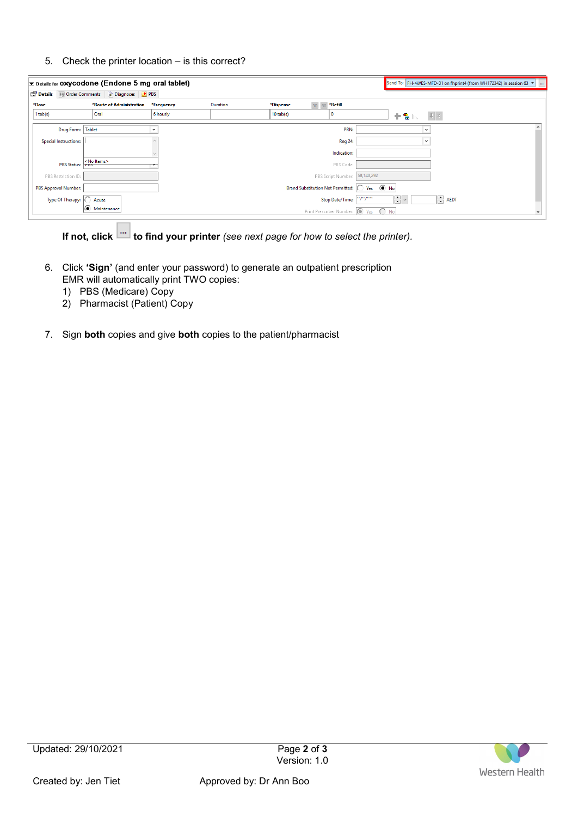### 5. Check the printer location – is this correct?

|            |                              | $\geq$ Details for OXYCO done (Endone 5 mg oral tablet) |            |          |             |                       |                               |                                                |      | Send To: FH-4WES-MFD-01 on fhprint4 (from WH172342) in session 63 $\blacktriangledown$ | $\mathbf{m}$ |
|------------|------------------------------|---------------------------------------------------------|------------|----------|-------------|-----------------------|-------------------------------|------------------------------------------------|------|----------------------------------------------------------------------------------------|--------------|
|            |                              | Details III Order Comments <b>and Diagnoses</b> the PBS |            |          |             |                       |                               |                                                |      |                                                                                        |              |
| *Dose      |                              | *Route of Administration                                | *Frequency | Duration | *Dispense   | 30 <sup>1</sup><br>90 | *Refill                       |                                                |      |                                                                                        |              |
| $1$ tab(s) |                              | Oral                                                    | 6 hourly   |          | $10$ tab(s) | $\mathbf{0}$          |                               | $+$ 2                                          | 电文   |                                                                                        |              |
|            | Drug Form: Tablet            |                                                         | $\check{}$ |          |             |                       | PRN:                          | $\check{}$                                     |      |                                                                                        | $\wedge$     |
|            | Special Instructions:        |                                                         |            |          |             |                       | <b>Reg 24:</b>                | $\check{}$                                     |      |                                                                                        |              |
|            |                              |                                                         |            |          |             |                       | Indication:                   |                                                |      |                                                                                        |              |
|            | PBS Status: PDS              | <no items=""></no>                                      |            |          |             |                       | PBS Code:                     |                                                |      |                                                                                        |              |
|            | PBS Restriction ID:          |                                                         |            |          |             |                       | PBS Script Number: 58,140,292 |                                                |      |                                                                                        |              |
|            | PBS Approval Number:         |                                                         |            |          |             |                       |                               | Brand Substitution Not Permitted: 0 Yes (a) No |      |                                                                                        |              |
|            | Type Of Therapy: $ \bigcirc$ | Acute                                                   |            |          |             |                       | Stop Date/Time: 7"/"/""       | $\frac{1}{\sqrt{2}}$ $\sim$                    | AEDT |                                                                                        |              |
|            |                              | G<br>Maintenance                                        |            |          |             |                       |                               | Print Prescriber Number: (C) Yes (C) No        |      |                                                                                        |              |

**If not, click <b>b** to find your printer *(see next page for how to select the printer).* 

- 6. Click **'Sign'** (and enter your password) to generate an outpatient prescription EMR will automatically print TWO copies:
	- 1) PBS (Medicare) Copy
	- 2) Pharmacist (Patient) Copy
- 7. Sign **both** copies and give **both** copies to the patient/pharmacist